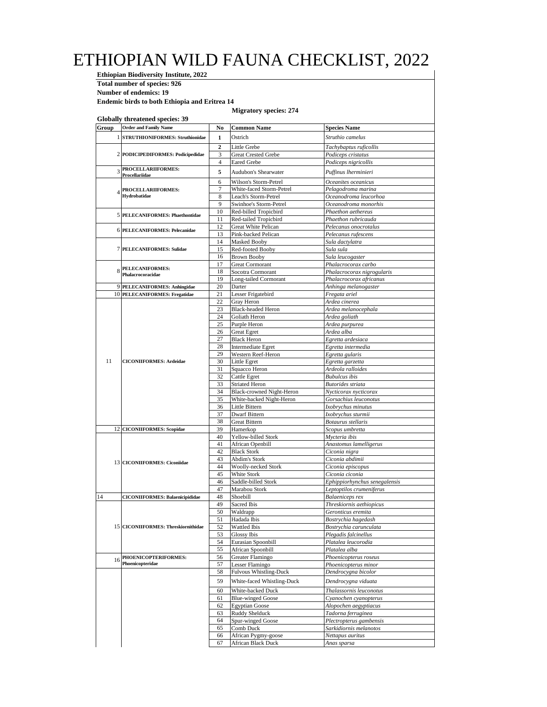## ETHIOPIAN WILD FAUNA CHECKLIST, 2022

**Ethiopian Biodiversity Institute, 2022 Total number of species: 926**

**Number of endemics: 19**

**Endemic birds to both Ethiopia and Eritrea 14**

## **Migratory species: 274**

|       | <b>Globally threatened species: 39</b><br><b>Order and Family Name</b> |                     |                                                   |                                                       |
|-------|------------------------------------------------------------------------|---------------------|---------------------------------------------------|-------------------------------------------------------|
| Group |                                                                        | No                  | <b>Common Name</b>                                | <b>Species Name</b>                                   |
|       | 1 STRUTHIONIFORMES: Struthionidae                                      | 1                   | Ostrich                                           | Struthio camelus                                      |
|       |                                                                        | $\overline{2}$      | Little Grebe                                      | Tachybaptus ruficollis                                |
|       | 2 PODICIPEDIFORMES: Podicipedidae                                      | 3<br>$\overline{4}$ | <b>Great Crested Grebe</b><br><b>Eared Grebe</b>  | Podiceps cristatus<br>Podiceps nigricollis            |
|       | PROCELLARIIFORMES:                                                     | 5                   | <b>Audubon's Shearwater</b>                       |                                                       |
|       | Procellariidae                                                         |                     |                                                   | Puffinus lherminieri                                  |
|       | PROCELLARIIFORMES:                                                     | 6<br>$\overline{7}$ | Wilson's Storm-Petrel<br>White-faced Storm-Petrel | Oceanites oceanicus<br>Pelagodroma marina             |
|       | Hydrobatidae                                                           | 8                   | Leach's Storm-Petrel                              | Oceanodroma leucorhoa                                 |
|       |                                                                        | 9                   | Swinhoe's Storm-Petrel                            | Oceanodroma monorhis                                  |
|       | 5 PELECANIFORMES: Phaethontidae                                        | 10                  | Red-billed Tropicbird                             | Phaethon aethereus                                    |
|       |                                                                        | 11                  | Red-tailed Tropicbird                             | Phaethon rubricauda                                   |
|       | 6 PELECANIFORMES: Pelecanidae                                          | 12<br>13            | Great White Pelican<br>Pink-backed Pelican        | Pelecanus onocrotalus<br>Pelecanus rufescens          |
|       |                                                                        | 14                  | <b>Masked Booby</b>                               | Sula dactylatra                                       |
|       | 7 PELECANIFORMES: Sulidae                                              | 15                  | Red-footed Booby                                  | Sula sula                                             |
|       |                                                                        | 16                  | <b>Brown Booby</b>                                | Sula leucogaster                                      |
|       | 8 PELECANIFORMES:                                                      | 17                  | <b>Great Cormorant</b>                            | Phalacrocorax carbo                                   |
|       | Phalacrocoracidae                                                      | 18<br>19            | Socotra Cormorant<br>Long-tailed Cormorant        | Phalacrocorax nigrogularis<br>Phalacrocorax africanus |
|       | 9 PELECANIFORMES: Anhingidae                                           | 20                  | Darter                                            | Anhinga melanogaster                                  |
|       | 10 PELECANIFORMES: Fregatidae                                          | 21                  | Lesser Frigatebird                                | Fregata ariel                                         |
|       |                                                                        | 22                  | Gray Heron                                        | Ardea cinerea                                         |
|       |                                                                        | 23                  | <b>Black-headed Heron</b>                         | Ardea melanocephala                                   |
|       |                                                                        | 24<br>25            | Goliath Heron<br>Purple Heron                     | Ardea goliath<br>Ardea purpurea                       |
|       |                                                                        | 26                  | <b>Great Egret</b>                                | Ardea alba                                            |
|       |                                                                        | 27                  | <b>Black Heron</b>                                | Egretta ardesiaca                                     |
|       |                                                                        | 28                  | <b>Intermediate Egret</b>                         | Egretta intermedia                                    |
|       |                                                                        | 29                  | Western Reef-Heron                                | Egretta gularis                                       |
| 11    | <b>CICONIIFORMES: Ardeidae</b>                                         | 30                  | Little Egret<br>Squacco Heron                     | Egretta garzetta<br>Ardeola ralloides                 |
|       |                                                                        | 31<br>32            | Cattle Egret                                      | <b>Bubulcus</b> ibis                                  |
|       |                                                                        | 33                  | <b>Striated Heron</b>                             | Butorides striata                                     |
|       |                                                                        | 34                  | Black-crowned Night-Heron                         | Nycticorax nycticorax                                 |
|       |                                                                        | 35                  | White-backed Night-Heron                          | Gorsachius leuconotus                                 |
|       |                                                                        | 36                  | Little Bittern                                    | Ixobrychus minutus                                    |
|       |                                                                        | 37<br>38            | Dwarf Bittern<br><b>Great Bittern</b>             | Ixobrychus sturmii<br>Botaurus stellaris              |
|       | 12 CICONIIFORMES: Scopidae                                             | 39                  | Hamerkop                                          | Scopus umbretta                                       |
|       |                                                                        | 40                  | Yellow-billed Stork                               | Mycteria ibis                                         |
|       |                                                                        | 41                  | African Openbill                                  | Anastomus lamelligerus                                |
|       |                                                                        | 42                  | <b>Black Stork</b>                                | Ciconia nigra                                         |
|       | 13 CICONIIFORMES: Ciconiidae                                           | 43<br>44            | Abdim's Stork<br>Woolly-necked Stork              | Ciconia abdimii<br>Ciconia episcopus                  |
|       |                                                                        | 45                  | White Stork                                       | Ciconia ciconia                                       |
|       |                                                                        | 46                  | Saddle-billed Stork                               | Ephippiorhynchus senegalensis                         |
|       |                                                                        | 47                  | Marabou Stork                                     | Leptoptilos crumeniferus                              |
| 14    | <b>CICONIIFORMES: Balaenicipididae</b>                                 | 48<br>49            | Shoebill<br><b>Sacred Ibis</b>                    | Balaeniceps rex                                       |
|       |                                                                        | 50                  | Waldrapp                                          | Threskiornis aethiopicus<br>Geronticus eremita        |
|       |                                                                        | 51                  | Hadada Ibis                                       | Bostrychia hagedash                                   |
|       | 15 CICONIIFORMES: Threskiornithidae                                    | 52                  | Wattled Ibis                                      | Bostrychia carunculata                                |
|       |                                                                        | 53                  | Glossy Ibis                                       | Plegadis falcinellus                                  |
|       |                                                                        | 54<br>55            | Eurasian Spoonbill                                | Platalea leucorodia                                   |
|       | PHOENICOPTERIFORMES:                                                   | 56                  | African Spoonbill<br>Greater Flamingo             | Platalea alba<br>Phoenicopterus roseus                |
| 16    | Phoenicopteridae                                                       | 57                  | Lesser Flamingo                                   | Phoenicopterus minor                                  |
|       |                                                                        | 58                  | <b>Fulvous Whistling-Duck</b>                     | Dendrocygna bicolor                                   |
|       |                                                                        | 59                  | White-faced Whistling-Duck                        | Dendrocygna viduata                                   |
|       |                                                                        | 60                  | White-backed Duck                                 | Thalassornis leuconotus                               |
|       |                                                                        | 61                  | <b>Blue-winged Goose</b>                          | Cyanochen cyanopterus                                 |
|       |                                                                        | 62                  | <b>Egyptian Goose</b>                             | Alopochen aegyptiacus                                 |
|       |                                                                        | 63                  | Ruddy Shelduck<br>Spur-winged Goose               | Tadorna ferruginea                                    |
|       |                                                                        | 64<br>65            | Comb Duck                                         | Plectropterus gambensis<br>Sarkidiornis melanotos     |
|       |                                                                        | 66                  | African Pygmy-goose                               | Nettapus auritus                                      |
|       |                                                                        | 67                  | African Black Duck                                | Anas sparsa                                           |
|       |                                                                        |                     |                                                   |                                                       |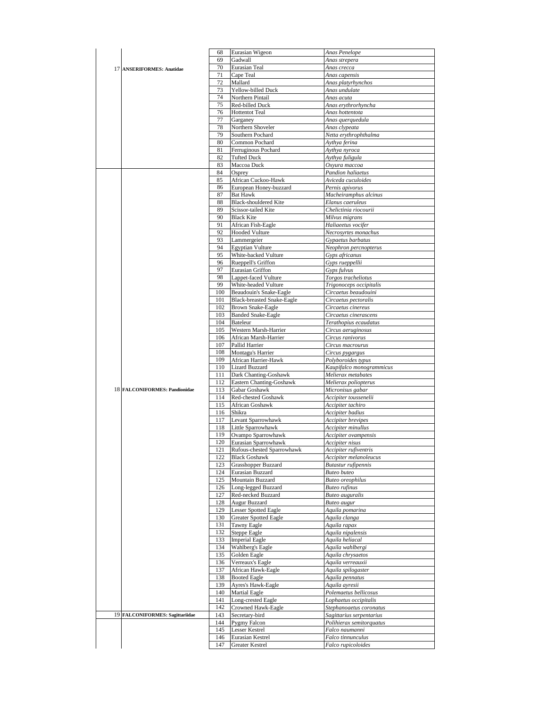|                                      | 68         | Eurasian Wigeon                                    | Anas Penelope                                 |
|--------------------------------------|------------|----------------------------------------------------|-----------------------------------------------|
|                                      | 69         | Gadwall                                            | Anas strepera                                 |
|                                      | 70         | Eurasian Teal                                      | Anas crecca                                   |
| 17 ANSERIFORMES: Anatidae            | 71         | Cape Teal                                          | Anas capensis                                 |
|                                      | 72         | Mallard                                            | Anas platyrhynchos                            |
|                                      |            |                                                    |                                               |
|                                      | 73<br>74   | Yellow-billed Duck<br>Northern Pintail             | Anas undulate<br>Anas acuta                   |
|                                      |            |                                                    |                                               |
|                                      | 75         | Red-billed Duck                                    | Anas erythrorhyncha                           |
|                                      | 76         | <b>Hottentot Teal</b>                              | Anas hottentota                               |
|                                      | 77         | Garganey                                           | Anas querquedula                              |
|                                      | 78         | Northern Shoveler                                  | Anas clypeata                                 |
|                                      | 79         | Southern Pochard                                   | Netta erythrophthalma                         |
|                                      | 80         | Common Pochard                                     | Aythya ferina                                 |
|                                      | 81         | Ferruginous Pochard                                | Aythya nyroca                                 |
|                                      | 82         | <b>Tufted Duck</b>                                 | Aythya fuligula                               |
|                                      | 83         | Maccoa Duck                                        | Охуига тассоа                                 |
|                                      | 84         | Osprey                                             | Pandion haliaetus                             |
|                                      | 85         | African Cuckoo-Hawk                                | Aviceda cuculoides                            |
|                                      | 86         | European Honey-buzzard                             | Pernis apivorus                               |
|                                      | 87         | <b>Bat Hawk</b>                                    | Macheiramphus alcinus                         |
|                                      | 88         | <b>Black-shouldered Kite</b>                       | Elanus caeruleus                              |
|                                      | 89         | Scissor-tailed Kite                                | Chelictinia riocourii                         |
|                                      | 90         | <b>Black Kite</b>                                  | Milvus migrans                                |
|                                      | 91         | African Fish-Eagle                                 | Haliaeetus vocifer                            |
|                                      | 92         | <b>Hooded Vulture</b>                              | Necrosyrtes monachus                          |
|                                      | 93         | Lammergeier                                        | Gypaetus barbatus                             |
|                                      | 94         | <b>Egyptian Vulture</b>                            | Neophron percnopterus                         |
|                                      | 95         | White-backed Vulture                               | Gyps africanus                                |
|                                      |            |                                                    |                                               |
|                                      | 96         | Rueppell's Griffon                                 | Gyps rueppellii                               |
|                                      | 97         | Eurasian Griffon                                   | Gyps fulvus                                   |
|                                      | 98         | Lappet-faced Vulture                               | Torgos tracheliotus                           |
|                                      | 99         | White-headed Vulture                               | Trigonoceps occipitalis                       |
|                                      | 100        | Beaudouin's Snake-Eagle                            | Circaetus beaudouini                          |
|                                      | 101        | <b>Black-breasted Snake-Eagle</b>                  | Circaetus pectoralis                          |
|                                      | 102        | Brown Snake-Eagle                                  | Circaetus cinereus                            |
|                                      | 103        | <b>Banded Snake-Eagle</b>                          | Circaetus cinerascens                         |
|                                      | 104        | <b>Bateleur</b>                                    | Terathopius ecaudatus                         |
|                                      | 105        | Western Marsh-Harrier                              | Circus aeruginosus                            |
|                                      | 106        | African Marsh-Harrier                              | Circus ranivorus                              |
|                                      | 107        | Pallid Harrier                                     | Circus macrourus                              |
|                                      | 108        | Montagu's Harrier                                  | Circus pygargus                               |
|                                      | 109        | African Harrier-Hawk                               | Polyboroides typus                            |
|                                      | 110        | <b>Lizard Buzzard</b>                              | Kaupifalco monogrammicus                      |
|                                      | 111        | Dark Chanting-Goshawk                              | Melierax metabates                            |
|                                      | 112        | Eastern Chanting-Goshawk                           | Melierax poliopterus                          |
| <b>18 FALCONIFORMES: Pandionidae</b> | 113        | Gabar Goshawk                                      | Micronisus gabar                              |
|                                      | 114        | Red-chested Goshawk                                | Accipiter toussenelii                         |
|                                      | 115        | African Goshawk                                    | Accipiter tachiro                             |
|                                      | 116        | Shikra                                             | Accipiter badius                              |
|                                      | 117        | Levant Sparrowhawk                                 | Accipiter brevipes                            |
|                                      | 118        | Little Sparrowhawk                                 | Accipiter minullus                            |
|                                      | 119        | Ovampo Sparrowhawk                                 | Accipiter ovampensis                          |
|                                      | 120        | Eurasian Sparrowhawk                               | Accipiter nisus                               |
|                                      |            | 121 Kutous-chested Sparrowhawk                     |                                               |
|                                      |            |                                                    | Accipiter rufiventris                         |
|                                      | 122<br>123 | <b>Black Goshawk</b><br><b>Grasshopper Buzzard</b> | Accipiter melanoleucus<br>Butastur rufipennis |
|                                      |            |                                                    |                                               |
|                                      | 124        | Eurasian Buzzard                                   | <b>Buteo</b> buteo                            |
|                                      | 125        | Mountain Buzzard                                   | <b>Buteo</b> oreophilus                       |
|                                      | 126        | Long-legged Buzzard                                | Buteo rufinus                                 |
|                                      | 127        | Red-necked Buzzard                                 | <b>Buteo</b> auguralis                        |
|                                      | 128        | Augur Buzzard                                      | <b>Buteo</b> augur                            |
|                                      | 129        | <b>Lesser Spotted Eagle</b>                        | Aquila pomarina                               |
|                                      | 130        | Greater Spotted Eagle                              | Aquila clanga                                 |
|                                      | 131        | Tawny Eagle                                        | Aquila rapax                                  |
|                                      | 132        | Steppe Eagle                                       | Aquila nipalensis                             |
|                                      | 133        | <b>Imperial Eagle</b>                              | Aquila heliacal                               |
|                                      | 134        | Wahlberg's Eagle                                   | Aquila wahlbergi                              |
|                                      | 135        | Golden Eagle                                       | Aquila chrysaetos                             |
|                                      | 136        | Verreaux's Eagle                                   | Aquila verreauxii                             |
|                                      | 137        | African Hawk-Eagle                                 | Aquila spilogaster                            |
|                                      | 138        | <b>Booted Eagle</b>                                | Aquila pennatus                               |
|                                      | 139        | Ayres's Hawk-Eagle                                 | Aquila ayresii                                |
|                                      | 140        | <b>Martial Eagle</b>                               | Polemaetus bellicosus                         |
|                                      | 141        | Long-crested Eagle                                 | Lophaetus occipitalis                         |
|                                      | 142        | Crowned Hawk-Eagle                                 | Stephanoaetus coronatus                       |
|                                      | 143        | Secretary-bird                                     | Sagittarius serpentarius                      |
|                                      |            |                                                    |                                               |
| 19 FALCONIFORMES: Sagittariidae      |            |                                                    |                                               |
|                                      | 144        | Pygmy Falcon                                       | Polihierax semitorquatus                      |
|                                      | 145        | Lesser Kestrel                                     | Falco naumanni                                |
|                                      | 146<br>147 | Eurasian Kestrel<br><b>Greater Kestrel</b>         | Falco tinnunculus<br>Falco rupicoloides       |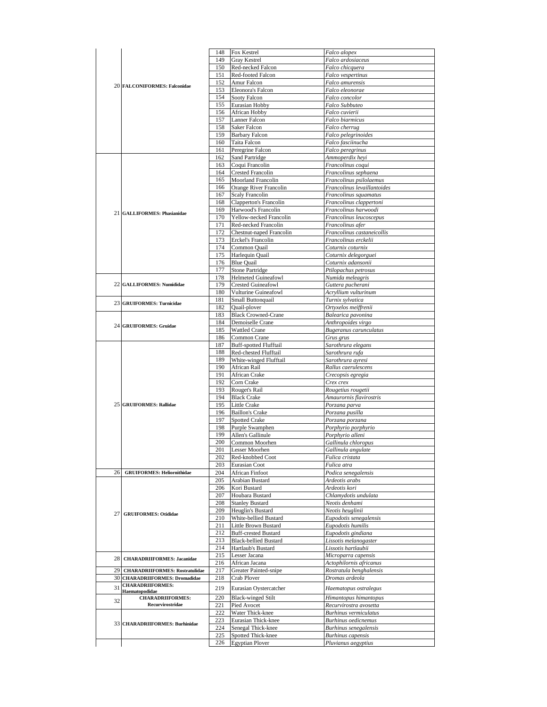|    |                                                           | 148        | Fox Kestrel                                  | Falco alopex                             |
|----|-----------------------------------------------------------|------------|----------------------------------------------|------------------------------------------|
|    |                                                           | 149        | Gray Kestrel                                 | Falco ardosiaceus                        |
|    |                                                           | 150        | Red-necked Falcon                            | Falco chicquera                          |
|    |                                                           | 151        | Red-footed Falcon                            | Falco vespertinus                        |
|    | 20 FALCONIFORMES: Falconidae                              | 152        | Amur Falcon                                  | Falco amurensis                          |
|    |                                                           | 153        | Eleonora's Falcon                            | Falco eleonorae                          |
|    |                                                           | 154        | Sooty Falcon                                 | Falco concolor                           |
|    |                                                           | 155        | Eurasian Hobby                               | Falco Subbuteo                           |
|    |                                                           | 156        | African Hobby                                | Falco cuvierii                           |
|    |                                                           | 157        | Lanner Falcon                                | Falco biarmicus                          |
|    |                                                           | 158        | Saker Falcon                                 | Falco cherrug                            |
|    |                                                           | 159        | <b>Barbary Falcon</b>                        | Falco pelegrinoides                      |
|    |                                                           | 160        | Taita Falcon                                 | Falco fasciinucha                        |
|    |                                                           | 161        | Peregrine Falcon                             | Falco peregrinus                         |
|    |                                                           | 162        | Sand Partridge                               | Ammoperdix heyi                          |
|    |                                                           | 163        | Coqui Francolin                              | Francolinus coqui                        |
|    |                                                           | 164        | <b>Crested Francolin</b>                     | Francolinus sephaena                     |
|    |                                                           | 165        | <b>Moorland Francolin</b>                    | Francolinus psilolaemus                  |
|    |                                                           | 166        | Orange River Francolin                       | Francolinus levaillantoides              |
|    |                                                           | 167        | Scaly Francolin                              | Francolinus squamatus                    |
|    |                                                           | 168        | Clapperton's Francolin                       | Francolinus clappertoni                  |
|    |                                                           | 169        | Harwood's Francolin                          | Francolinus harwoodi                     |
|    | 21 GALLIFORMES: Phasianidae                               | 170        | Yellow-necked Francolin                      | Francolinus leucoscepus                  |
|    |                                                           | 171        | Red-necked Francolin                         | Francolinus afer                         |
|    |                                                           | 172        | Chestnut-naped Francolin                     | Francolinus castaneicollis               |
|    |                                                           | 173        | Erckel's Francolin                           | Francolinus erckelii                     |
|    |                                                           | 174        | Common Quail                                 | Coturnix coturnix                        |
|    |                                                           | 175        | Harlequin Quail                              | Coturnix delegorguei                     |
|    |                                                           | 176        | <b>Blue Quail</b>                            | Coturnix adansonii                       |
|    |                                                           | 177        | <b>Stone Partridge</b>                       | Ptilopachus petrosus                     |
|    |                                                           | 178        | <b>Helmeted Guineafowl</b>                   | Numida meleagris                         |
|    | 22 GALLIFORMES: Numididae                                 | 179        | Crested Guineafowl                           | Guttera pucherani                        |
|    |                                                           | 180        | Vulturine Guineafowl                         | Acryllium vulturinum                     |
|    |                                                           | 181        | Small Buttonquail                            | Turnix sylvatica                         |
|    | 23 GRUIFORMES: Turnicidae                                 | 182        | Quail-plover                                 | Ortyxelos meiffrenii                     |
|    |                                                           | 183        | <b>Black Crowned-Crane</b>                   | Balearica pavonina                       |
|    |                                                           | 184        | Demoiselle Crane                             | Anthropoides virgo                       |
|    | 24 GRUIFORMES: Gruidae                                    | 185        | <b>Wattled Crane</b>                         | Bugeranus carunculatus                   |
|    |                                                           | 186        | Common Crane                                 | Grus grus                                |
|    |                                                           | 187        | <b>Buff-spotted Flufftail</b>                | Sarothrura elegans                       |
|    |                                                           | 188        | Red-chested Flufftail                        | Sarothrura rufa                          |
|    |                                                           | 189        | White-winged Flufftail                       | Sarothrura ayresi                        |
|    |                                                           | 190        | African Rail                                 | Rallus caerulescens                      |
|    |                                                           | 191        | African Crake                                | Crecopsis egregia                        |
|    |                                                           | 192        | Corn Crake                                   | Crex crex                                |
|    |                                                           | 193        | Rouget's Rail                                | Rougetius rougetii                       |
|    |                                                           | 194        | <b>Black Crake</b>                           | Amaurornis flavirostris                  |
|    | 25 GRUIFORMES: Rallidae                                   | 195        | Little Crake                                 | Porzana parva                            |
|    |                                                           | 196        | <b>Baillon's Crake</b>                       | Porzana pusilla                          |
|    |                                                           | 197        | <b>Spotted Crake</b>                         | Porzana porzana                          |
|    |                                                           | 198        | Purple Swamphen                              | Porphyrio porphyrio                      |
|    |                                                           | 199        | Allen's Gallinule                            | Porphyrio alleni                         |
|    |                                                           | 200        | Common Moorhen                               | Gallinula chloropus                      |
|    |                                                           | 201        | <b>Lesser Moorhen</b>                        | Gallinula angulate                       |
|    |                                                           | 202        | Red-knobbed Coot                             | Fulica cristata                          |
|    |                                                           | 203        | Eurasian Coot                                | Fulica atra                              |
| 26 | <b>GRUIFORMES: Heliornithidae</b>                         | 204        | <b>African Finfoot</b>                       | Podica senegalensis                      |
|    |                                                           | 205        | Arabian Bustard                              | Ardeotis arabs                           |
|    |                                                           | 206        | Kori Bustard                                 | Ardeotis kori                            |
|    |                                                           | 207        | Houbara Bustard                              | Chlamydotis undulata                     |
|    |                                                           | 208        | <b>Stanley Bustard</b>                       | Neotis denhami                           |
|    |                                                           | 209        | Heuglin's Bustard                            | Neotis heuglinii                         |
|    | 27 GRUIFORMES: Otididae                                   | 210        | White-bellied Bustard                        | Eupodotis senegalensis                   |
|    |                                                           | 211        | Little Brown Bustard                         | Eupodotis humilis                        |
|    |                                                           | 212        | <b>Buff-crested Bustard</b>                  | Eupodotis gindiana                       |
|    |                                                           | 213        | <b>Black-bellied Bustard</b>                 | Lissotis melanogaster                    |
|    |                                                           | 214        | Hartlaub's Bustard                           | Lissotis hartlaubii                      |
|    |                                                           | 215        | Lesser Jacana                                | Microparra capensis                      |
|    | 28 CHARADRIIFORMES: Jacanidae                             | 216        | African Jacana                               | Actophilornis africanus                  |
|    | 29 CHARADRIIFORMES: Rostratulidae                         | 217        | Greater Painted-snipe                        | Rostratula benghalensis                  |
|    |                                                           |            | Crab Plover                                  | Dromas ardeola                           |
|    |                                                           |            |                                              |                                          |
|    | 30 CHARADRIIFORMES: Dromadidae<br><b>CHARADRIIFORMES:</b> | 218        |                                              |                                          |
| 31 | Haematopodidae                                            | 219        | Eurasian Oystercatcher                       | Haematopus ostralegus                    |
|    | <b>CHARADRIIFORMES:</b>                                   | 220        | <b>Black-winged Stilt</b>                    | Himantopus himantopus                    |
| 32 | Recurvirostridae                                          | 221        | Pied Avocet                                  | Recurvirostra avosetta                   |
|    |                                                           | 222        | Water Thick-knee                             | Burhinus vermiculatus                    |
|    |                                                           | 223        | Eurasian Thick-knee                          | Burhinus oedicnemus                      |
|    | 33 CHARADRIIFORMES: Burhinidae                            | 224        | Senegal Thick-knee                           | Burhinus senegalensis                    |
|    |                                                           | 225<br>226 | Spotted Thick-knee<br><b>Egyptian Plover</b> | Burhinus capensis<br>Pluvianus aegyptius |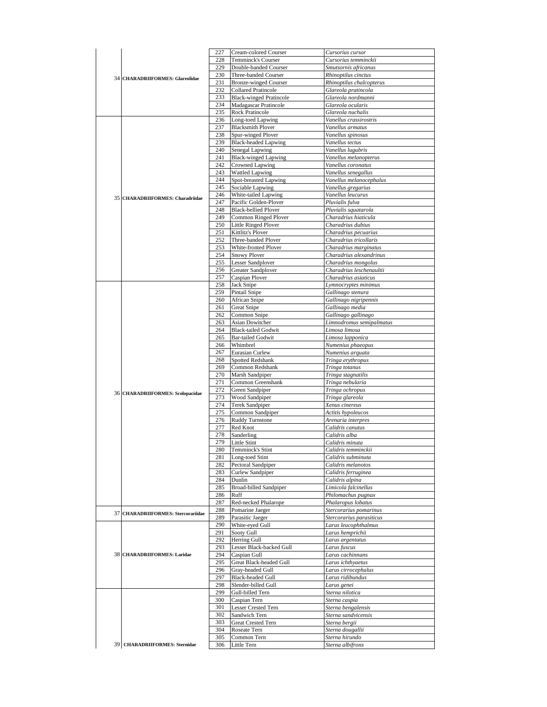|                                        | 227        | Cream-colored Courser          | Cursorius cursor                   |
|----------------------------------------|------------|--------------------------------|------------------------------------|
|                                        | 228        | Temminck's Courser             | Cursorius temminckii               |
|                                        | 229        | Double-banded Courser          | Smutsornis africanus               |
| <b>34 CHARADRIIFORMES: Glareolidae</b> | 230        | Three-banded Courser           | Rhinoptilus cinctus                |
|                                        | 231        | <b>Bronze-winged Courser</b>   | Rhinoptilus chalcopterus           |
|                                        | 232        | <b>Collared Pratincole</b>     | Glareola pratincola                |
|                                        | 233        | <b>Black-winged Pratincole</b> | Glareola nordmanni                 |
|                                        | 234        | Madagascar Pratincole          | Glareola ocularis                  |
|                                        | 235        | <b>Rock Pratincole</b>         | Glareola nuchalis                  |
|                                        | 236        | Long-toed Lapwing              | Vanellus crassirostris             |
|                                        | 237        | <b>Blacksmith Plover</b>       | Vanellus armatus                   |
|                                        | 238        | Spur-winged Plover             | Vanellus spinosus                  |
|                                        | 239        | <b>Black-headed Lapwing</b>    | Vanellus tectus                    |
|                                        | 240        | Senegal Lapwing                | Vanellus lugubris                  |
|                                        | 241        | <b>Black-winged Lapwing</b>    | Vanellus melanopterus              |
|                                        | 242        | Crowned Lapwing                | Vanellus coronatus                 |
|                                        | 243        |                                |                                    |
|                                        |            | <b>Wattled Lapwing</b>         | Vanellus senegallus                |
|                                        | 244        | Spot-breasted Lapwing          | Vanellus melanocephalus            |
|                                        | 245        | Sociable Lapwing               | Vanellus gregarius                 |
| 35 CHARADRIIFORMES: Charadriidae       | 246        | White-tailed Lapwing           | Vanellus leucurus                  |
|                                        | 247        | Pacific Golden-Plover          | Pluvialis fulva                    |
|                                        | 248        | <b>Black-bellied Plover</b>    | Pluvialis squatarola               |
|                                        | 249        | Common Ringed Plover           | Charadrius hiaticula               |
|                                        | 250        | <b>Little Ringed Plover</b>    | Charadrius dubius                  |
|                                        | 251        | Kittlitz's Plover              | Charadrius pecuarius               |
|                                        | 252        | Three-banded Plover            | Charadrius tricollaris             |
|                                        | 253        | White-fronted Plover           | Charadrius marginatus              |
|                                        | 254        | <b>Snowy Plover</b>            | Charadrius alexandrinus            |
|                                        | 255        | Lesser Sandplover              | Charadrius mongolus                |
|                                        | 256        | Greater Sandplover             | Charadrius leschenaultii           |
|                                        | 257        | Caspian Plover                 | Charadrius asiaticus               |
|                                        | 258        | Jack Snipe                     | Lymnocryptes minimus               |
|                                        | 259        | Pintail Snipe                  | Gallinago stenura                  |
|                                        | 260        | African Snipe                  | Gallinago nigripennis              |
|                                        | 261        | <b>Great Snipe</b>             | Gallinago media                    |
|                                        |            |                                |                                    |
|                                        | 262        | Common Snipe                   | Gallinago gallinago                |
|                                        | 263        | Asian Dowitcher                | Limnodromus semipalmatus           |
|                                        | 264        | <b>Black-tailed Godwit</b>     | Limosa limosa                      |
|                                        | 265        | <b>Bar-tailed Godwit</b>       | Limosa lapponica                   |
|                                        | 266        | Whimbrel                       | Numenius phaeopus                  |
|                                        | 267        | Eurasian Curlew                | Numenius arquata                   |
|                                        | 268        | Spotted Redshank               | Tringa erythropus                  |
|                                        | 269        | Common Redshank                | Tringa totanus                     |
|                                        |            |                                |                                    |
|                                        | 270        | Marsh Sandpiper                | Tringa stagnatilis                 |
|                                        | 271        | Common Greenshank              | Tringa nebularia                   |
|                                        | 272        | Green Sandpiper                | Tringa ochropus                    |
| 36 CHARADRIIFORMES: Scolopacidae       | 273        | Wood Sandpiper                 | Tringa glareola                    |
|                                        | 274        | Terek Sandpiper                | Xenus cinereus                     |
|                                        | 275        | Common Sandpiper               | Actitis hypoleucos                 |
|                                        | 276        |                                |                                    |
|                                        |            | <b>Ruddy Turnstone</b>         | Arenaria interpres                 |
|                                        | 277        | Red Knot                       | Calidris canutus                   |
|                                        | 278        | Sanderling                     | Calidris alba                      |
|                                        | 279        | Little Stint                   | Calidris minuta                    |
|                                        | 280-       | Temminck's Stint               | Calidris temminckii                |
|                                        | 281        | Long-toed Stint                | Calidris subminuta                 |
|                                        | 282        | Pectoral Sandpiper             | Calidris melanotos                 |
|                                        | 283        | Curlew Sandpiper               | Calidris ferruginea                |
|                                        | 284        | Dunlin                         | Calidris alpina                    |
|                                        | 285        | Broad-billed Sandpiper         | Limicola falcinellus               |
|                                        | 286        | Ruff                           | Philomachus pugnax                 |
|                                        | 287        | Red-necked Phalarope           | Phalaropus lobatus                 |
| 37 CHARADRIIFORMES: Stercorariidae     | 288        | Pomarine Jaeger                | Stercorarius pomarinus             |
|                                        | 289        | Parasitic Jaeger               | Stercorarius parasiticus           |
|                                        | 290        | White-eyed Gull                | Larus leucophthalmus               |
|                                        | 291        | Sooty Gull                     | Larus hemprichii                   |
|                                        | 292        | Herring Gull                   | Larus argentatus                   |
|                                        | 293        | Lesser Black-backed Gull       | Larus fuscus                       |
| <b>38 CHARADRIIFORMES: Laridae</b>     | 294        | Caspian Gull                   | Larus cachinnans                   |
|                                        | 295        | <b>Great Black-headed Gull</b> | Larus ichthyaetus                  |
|                                        | 296        | Gray-headed Gull               |                                    |
|                                        |            |                                | Larus cirrocephalus                |
|                                        | 297        | <b>Black-headed Gull</b>       | Larus ridibundus                   |
|                                        | 298        | Slender-billed Gull            | Larus genei                        |
|                                        | 299        | Gull-billed Tern               | Sterna nilotica                    |
|                                        | 300        | Caspian Tern                   | Sterna caspia                      |
|                                        | 301        | Lesser Crested Tern            | Sterna bengalensis                 |
|                                        | 302        | Sandwich Tern                  | Sterna sandvicensis                |
|                                        | 303        | Great Crested Tern             | Sterna bergii                      |
|                                        | 304        | Roseate Tern                   | Sterna dougallii                   |
| 39 CHARADRIIFORMES: Sternidae          | 305<br>306 | Common Tern<br>Little Tern     | Sterna hirundo<br>Sterna albifrons |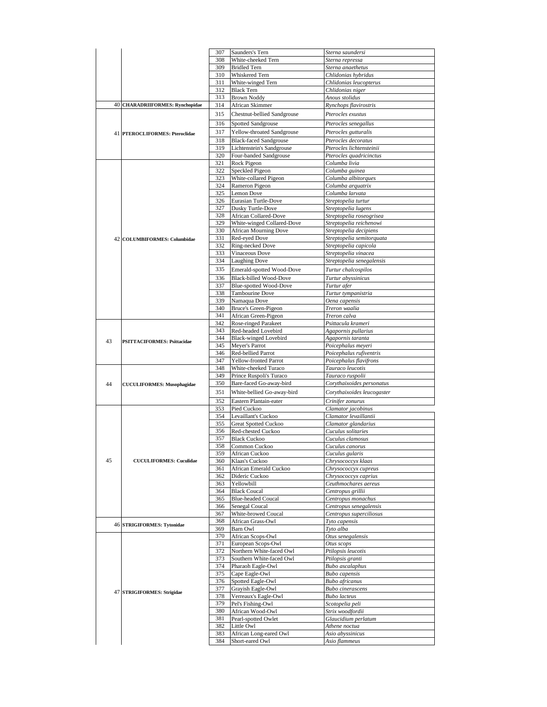| Chlidonias leucopterus<br>Pterocles lichtensteinii<br>Pterocles quadricinctus<br>Streptopelia roseogrisea<br>Streptopelia reichenowi<br>Streptopelia decipiens<br>Streptopelia semitorquata |
|---------------------------------------------------------------------------------------------------------------------------------------------------------------------------------------------|
|                                                                                                                                                                                             |
|                                                                                                                                                                                             |
|                                                                                                                                                                                             |
|                                                                                                                                                                                             |
|                                                                                                                                                                                             |
|                                                                                                                                                                                             |
|                                                                                                                                                                                             |
|                                                                                                                                                                                             |
|                                                                                                                                                                                             |
|                                                                                                                                                                                             |
|                                                                                                                                                                                             |
|                                                                                                                                                                                             |
|                                                                                                                                                                                             |
|                                                                                                                                                                                             |
|                                                                                                                                                                                             |
|                                                                                                                                                                                             |
|                                                                                                                                                                                             |
|                                                                                                                                                                                             |
|                                                                                                                                                                                             |
|                                                                                                                                                                                             |
|                                                                                                                                                                                             |
|                                                                                                                                                                                             |
|                                                                                                                                                                                             |
|                                                                                                                                                                                             |
|                                                                                                                                                                                             |
|                                                                                                                                                                                             |
|                                                                                                                                                                                             |
|                                                                                                                                                                                             |
|                                                                                                                                                                                             |
|                                                                                                                                                                                             |
| Streptopelia senegalensis                                                                                                                                                                   |
|                                                                                                                                                                                             |
|                                                                                                                                                                                             |
|                                                                                                                                                                                             |
|                                                                                                                                                                                             |
|                                                                                                                                                                                             |
|                                                                                                                                                                                             |
|                                                                                                                                                                                             |
|                                                                                                                                                                                             |
|                                                                                                                                                                                             |
|                                                                                                                                                                                             |
|                                                                                                                                                                                             |
|                                                                                                                                                                                             |
| Poicephalus rufiventris                                                                                                                                                                     |
| Poicephalus flavifrons                                                                                                                                                                      |
|                                                                                                                                                                                             |
|                                                                                                                                                                                             |
| Corythaixoides personatus                                                                                                                                                                   |
| Corythaixoides leucogaster                                                                                                                                                                  |
|                                                                                                                                                                                             |
|                                                                                                                                                                                             |
|                                                                                                                                                                                             |
|                                                                                                                                                                                             |
|                                                                                                                                                                                             |
|                                                                                                                                                                                             |
|                                                                                                                                                                                             |
|                                                                                                                                                                                             |
|                                                                                                                                                                                             |
|                                                                                                                                                                                             |
|                                                                                                                                                                                             |
|                                                                                                                                                                                             |
| Chrysococcyx cupreus                                                                                                                                                                        |
| Chrysococcyx caprius                                                                                                                                                                        |
| Ceuthmochares aereus                                                                                                                                                                        |
|                                                                                                                                                                                             |
|                                                                                                                                                                                             |
| Centropus senegalensis                                                                                                                                                                      |
| Centropus superciliosus                                                                                                                                                                     |
|                                                                                                                                                                                             |
|                                                                                                                                                                                             |
|                                                                                                                                                                                             |
|                                                                                                                                                                                             |
|                                                                                                                                                                                             |
|                                                                                                                                                                                             |
|                                                                                                                                                                                             |
|                                                                                                                                                                                             |
|                                                                                                                                                                                             |
|                                                                                                                                                                                             |
|                                                                                                                                                                                             |
|                                                                                                                                                                                             |
|                                                                                                                                                                                             |
|                                                                                                                                                                                             |
|                                                                                                                                                                                             |
|                                                                                                                                                                                             |
|                                                                                                                                                                                             |
|                                                                                                                                                                                             |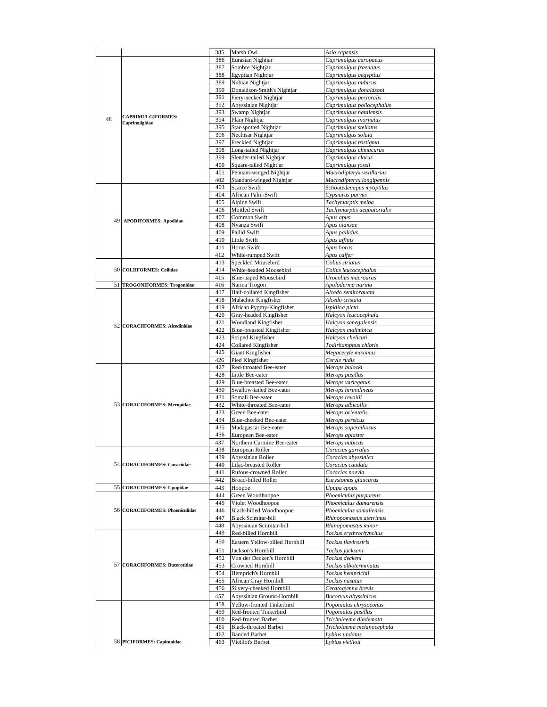|    |                                   | 385        | Marsh Owl                      | Asio capensis               |
|----|-----------------------------------|------------|--------------------------------|-----------------------------|
|    |                                   | 386        | Eurasian Nightjar              | Caprimulgus europaeus       |
|    |                                   | 387        | Sombre Nightjar                | Caprimulgus fraenatus       |
|    |                                   | 388        | Egyptian Nightjar              | Caprimulgus aegyptius       |
|    |                                   | 389        | Nubian Nightjar                | Caprimulgus nubicus         |
|    |                                   | 390        | Donaldson-Smith's Nightjar     | Caprimulgus donaldsoni      |
|    |                                   | 391        | Fiery-necked Nightjar          | Caprimulgus pectoralis      |
|    |                                   |            |                                |                             |
|    |                                   | 392        | Abyssinian Nightjar            | Caprimulgus poliocephalus   |
|    | <b>CAPRIMULGIFORMES:</b>          | 393        | Swamp Nightjar                 | Caprimulgus natalensis      |
| 48 | Caprimulgidae                     | 394        | Plain Nightjar                 | Caprimulgus inornatus       |
|    |                                   | 395        | Star-spotted Nightjar          | Caprimulgus stellatus       |
|    |                                   | 396        | Nechisar Nightjar              | Caprimulgus solala          |
|    |                                   | 397        | Freckled Nightjar              | Caprimulgus tristigma       |
|    |                                   | 398        | Long-tailed Nightjar           |                             |
|    |                                   |            |                                | Caprimulgus climacurus      |
|    |                                   | 399        | Slender-tailed Nightjar        | Caprimulgus clarus          |
|    |                                   | 400        | Square-tailed Nightjar         | Caprimulgus fossii          |
|    |                                   | 401        | Pennant-winged Nightjar        | Macrodipteryx vexillarius   |
|    |                                   | 402        | Standard-winged Nightjar       | Macrodipteryx longipennis   |
|    |                                   | 403        | Scarce Swift                   | Schoutedenapus myoptilus    |
|    |                                   | 404        | African Palm-Swift             | Cypsiurus parvus            |
|    |                                   | 405        | Alpine Swift                   |                             |
|    |                                   |            |                                | Tachymarptis melba          |
|    |                                   | 406        | <b>Mottled Swift</b>           | Tachymarptis aequatorialis  |
| 49 | <b>APODIFORMES: Apodidae</b>      | 407        | Common Swift                   | Apus apus                   |
|    |                                   | 408        | Nyanza Swift                   | Apus niansae                |
|    |                                   | 409        | Pallid Swift                   | Apus pallidus               |
|    |                                   | 410        | Little Swift                   | Apus affinis                |
|    |                                   | 411        | Horus Swift                    | Apus horus                  |
|    |                                   | 412        | White-rumped Swift             | Apus caffer                 |
|    |                                   |            |                                |                             |
|    |                                   | 413        | Speckled Mousebird             | Colius striatus             |
|    | 50 COLIIFORMES: Coliidae          | 414        | White-headed Mousebird         | Colius leucocephalus        |
|    |                                   | 415        | <b>Blue-naped Mousebird</b>    | Urocolius macrourus         |
|    | 51 TROGONIFORMES: Trogonidae      | 416        | Narina Trogon                  | Apaloderma narina           |
|    |                                   | 417        | Half-collared Kingfisher       | Alcedo semitorquata         |
|    |                                   | 418        | Malachite Kingfisher           | Alcedo cristata             |
|    |                                   | 419        | African Pygmy-Kingfisher       | Ispidina picta              |
|    |                                   |            |                                |                             |
|    |                                   | 420        | Gray-headed Kingfisher         | Halcyon leucocephala        |
|    | 52 CORACIIFORMES: Alcedinidae     | 421        | Woodland Kingfisher            | Halcyon senegalensis        |
|    |                                   | 422        | Blue-breasted Kingfisher       | Halcyon malimbica           |
|    |                                   | 423        | Striped Kingfisher             | Halcyon chelicuti           |
|    |                                   | 424        | Collared Kingfisher            | Todirhamphus chloris        |
|    |                                   | 425        | Giant Kingfisher               | Megaceryle maximus          |
|    |                                   | 426        | Pied Kingfisher                | Ceryle rudis                |
|    |                                   | 427        | Red-throated Bee-eater         |                             |
|    |                                   |            |                                | Merops bulocki              |
|    |                                   | 428        | Little Bee-eater               | Merops pusillus             |
|    |                                   | 429        | Blue-breasted Bee-eater        | Merops variegatus           |
|    |                                   | 430        | Swallow-tailed Bee-eater       | Merops hirundineus          |
|    |                                   | 431        | Somali Bee-eater               | Merops revoilii             |
|    | 53 CORACIIFORMES: Meropidae       | 432        | White-throated Bee-eater       | Merops albicollis           |
|    |                                   | 433        | Green Bee-eater                | Merops orientalis           |
|    |                                   | 434        | Blue-cheeked Bee-eater         | Merops persicus             |
|    |                                   |            |                                |                             |
|    |                                   | 435<br>436 | Madagascar Bee-eater           | Merops superciliosus        |
|    |                                   |            | European Bee-eater             | Merops apiaster             |
|    |                                   | 437        | Northern Carmine Bee-eater     | Merops nubicus              |
|    |                                   | 438        | European Roller                | Coracias garrulus           |
|    |                                   | 439        | Abyssinian Roller              | Coracias abyssinica         |
|    | 54 CORACIIFORMES: Coraciidae      | 440        | Lilac-breasted Roller          | Coracias caudata            |
|    |                                   | 441        | Rufous-crowned Roller          | Coracias naevia             |
|    |                                   | 442        | Broad-billed Roller            | Eurystomus glaucurus        |
|    | 55 CORACIIFORMES: Upupidae        | 443        | Hoopoe                         | Upupa epops                 |
|    |                                   |            |                                |                             |
|    |                                   | 444        | Green Woodhoopoe               | Phoeniculus purpureus       |
|    |                                   | 445        | Violet Woodhoopoe              | Phoeniculus damarensis      |
|    | 56 CORACIIFORMES: Phoeniculidae   | 446        | <b>Black-billed Woodhoopoe</b> | Phoeniculus somaliensis     |
|    |                                   | 447        | <b>Black Scimitar-bill</b>     | Rhinopomastus aterrimus     |
|    |                                   | 448        | Abyssinian Scimitar-bill       | Rhinopomastus minor         |
|    |                                   | 449        | Red-billed Hornbill            | Tockus erythrorhynchus      |
|    |                                   |            |                                |                             |
|    |                                   | 450        | Eastern Yellow-billed Hornbill | Tockus flavirostris         |
|    |                                   | 451        | Jackson's Hornbill             | Tockus jacksoni             |
|    |                                   | 452        | Von der Decken's Hornbill      | Tockus deckeni              |
| 57 | <b>CORACIIFORMES: Bucerotidae</b> | 453        | Crowned Hornbill               | Tockus alboterminatus       |
|    |                                   | 454        | Hemprich's Hornbill            | Tockus hemprichii           |
|    |                                   |            |                                |                             |
|    |                                   | 455        | African Gray Hornbill          | Tockus nasutus              |
|    |                                   | 456        | Silvery-cheeked Hornbill       | Ceratogymna brevis          |
|    |                                   | 457        | Abyssinian Ground-Hornbill     | <b>Bucorvus</b> abyssinicus |
|    |                                   | 458        | Yellow-fronted Tinkerbird      | Pogoniulus chrysoconus      |
|    |                                   | 459        | Red-fronted Tinkerbird         | Pogoniulus pusillus         |
|    |                                   |            |                                |                             |
|    |                                   | 460        | Red-fronted Barbet             | Tricholaema diademata       |
|    |                                   | 461        | <b>Black-throated Barbet</b>   | Tricholaema melanocephala   |
|    |                                   | 462        | <b>Banded Barbet</b>           | Lybius undatus              |
|    | 58 PICIFORMES: Capitonidae        | 463        | Vieillot's Barbet              | Lybius vieilloti            |
|    |                                   |            |                                |                             |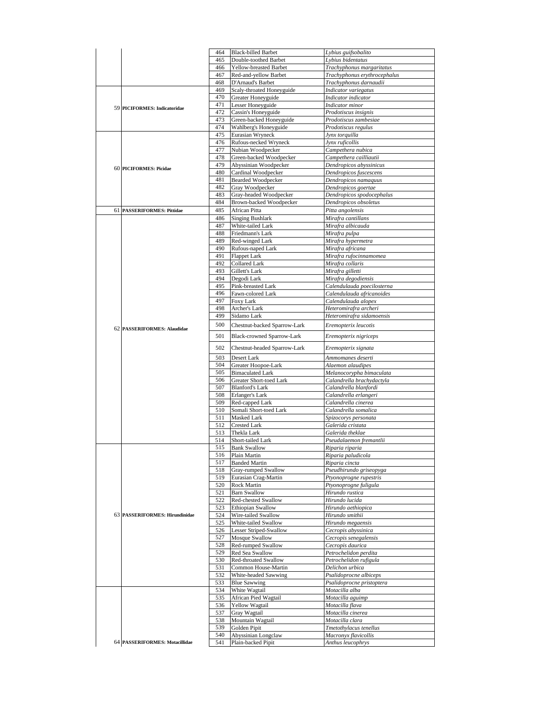|    |                                | 464        | <b>Black-billed Barbet</b>                | Lybius guifsobalito                       |
|----|--------------------------------|------------|-------------------------------------------|-------------------------------------------|
|    |                                | 465        | Double-toothed Barbet                     | Lybius bidentatus                         |
|    |                                | 466        | Yellow-breasted Barbet                    | Trachyphonus margaritatus                 |
|    |                                | 467        | Red-and-yellow Barbet                     | Trachyphonus erythrocephalus              |
|    |                                | 468        | D'Arnaud's Barbet                         | Trachyphonus darnaudii                    |
|    |                                | 469        | Scaly-throated Honeyguide                 | Indicator variegatus                      |
|    |                                | 470        | Greater Honeyguide                        | Indicator indicator                       |
|    |                                | 471        |                                           |                                           |
|    | 59 PICIFORMES: Indicatoridae   |            | Lesser Honeyguide                         | Indicator minor                           |
|    |                                | 472        | Cassin's Honeyguide                       | Prodotiscus insignis                      |
|    |                                | 473        | Green-backed Honeyguide                   | Prodotiscus zambesiae                     |
|    |                                | 474        | Wahlberg's Honeyguide                     | Prodotiscus regulus                       |
|    |                                | 475        | Eurasian Wryneck                          | Jynx torquilla                            |
|    |                                | 476        | Rufous-necked Wryneck                     | Jynx ruficollis                           |
|    |                                | 477        | Nubian Woodpecker                         | Campethera nubica                         |
|    |                                | 478        | Green-backed Woodpecker                   | Campethera cailliautii                    |
|    |                                | 479        | Abyssinian Woodpecker                     | Dendropicos abyssinicus                   |
|    | 60 PICIFORMES: Picidae         | 480        | Cardinal Woodpecker                       | Dendropicos fuscescens                    |
|    |                                | 481        | <b>Bearded Woodpecker</b>                 | Dendropicos namaquus                      |
|    |                                | 482        | Gray Woodpecker                           | Dendropicos goertae                       |
|    |                                | 483        | Gray-headed Woodpecker                    | Dendropicos spodocephalus                 |
|    |                                | 484        | Brown-backed Woodpecker                   | Dendropicos obsoletus                     |
|    |                                |            |                                           |                                           |
| 61 | <b>PASSERIFORMES: Pittidae</b> | 485        | African Pitta                             | Pitta angolensis                          |
|    |                                | 486        | <b>Singing Bushlark</b>                   | Mirafra cantillans                        |
|    |                                | 487        | White-tailed Lark                         | Mirafra albicauda                         |
|    |                                | 488        | Friedmann's Lark                          | Mirafra pulpa                             |
|    |                                | 489        | Red-winged Lark                           | Mirafra hypermetra                        |
|    |                                | 490        | Rufous-naped Lark                         | Mirafra africana                          |
|    |                                | 491        | <b>Flappet Lark</b>                       | Mirafra rufocinnamomea                    |
|    |                                | 492        | <b>Collared Lark</b>                      | Mirafra collaris                          |
|    |                                | 493        | Gillett's Lark                            | Mirafra gilletti                          |
|    |                                | 494        | Degodi Lark                               | Mirafra degodiensis                       |
|    |                                | 495        | Pink-breasted Lark                        | Calendulauda poecilosterna                |
|    |                                | 496        | Fawn-colored Lark                         | Calendulauda africanoides                 |
|    |                                | 497        | Foxy Lark                                 | Calendulauda alopex                       |
|    |                                | 498        |                                           |                                           |
|    |                                |            | Archer's Lark                             | Heteromirafra archeri                     |
|    |                                | 499        | Sidamo Lark                               | Heteromirafra sidamoensis                 |
|    | 62 PASSERIFORMES: Alaudidae    | 500        | Chestnut-backed Sparrow-Lark              | Eremopterix leucotis                      |
|    |                                | 501        | Black-crowned Sparrow-Lark                | Eremopterix nigriceps                     |
|    |                                |            |                                           |                                           |
|    |                                | 502        | Chestnut-headed Sparrow-Lark              | Eremopterix signata                       |
|    |                                | 503        | Desert Lark                               | Ammomanes deserti                         |
|    |                                | 504        |                                           |                                           |
|    |                                |            | Greater Hoopoe-Lark                       | Alaemon alaudipes                         |
|    |                                | 505        | <b>Bimaculated Lark</b>                   | Melanocorypha bimaculata                  |
|    |                                | 506        | Greater Short-toed Lark                   | Calandrella brachydactyla                 |
|    |                                | 507        | <b>Blanford's Lark</b>                    | Calandrella blanfordi                     |
|    |                                | 508        | Erlanger's Lark                           | Calandrella erlangeri                     |
|    |                                | 509        | Red-capped Lark                           | Calandrella cinerea                       |
|    |                                | 510        | Somali Short-toed Lark                    | Calandrella somalica                      |
|    |                                | 511        | Masked Lark                               | Spizocorys personata                      |
|    |                                | 512        | <b>Crested Lark</b>                       | Galerida cristata                         |
|    |                                | 513        | Thekla Lark                               | Galerida theklae                          |
|    |                                | 514        | Short-tailed Lark                         | Pseudalaemon fremantlii                   |
|    |                                | 515        | <b>Bank Swallow</b>                       | Riparia riparia                           |
|    |                                | 516        | Plain Martin                              | Riparia paludicola                        |
|    |                                | 517        | <b>Banded Martin</b>                      | Riparia cincta                            |
|    |                                | 518        | Gray-rumped Swallow                       | Pseudhirundo griseopyga                   |
|    |                                | 519        | Eurasian Crag-Martin                      | Ptyonoprogne rupestris                    |
|    |                                | 520        | Rock Martin                               | Ptyonoprogne fuligula                     |
|    |                                |            | <b>Barn Swallow</b>                       |                                           |
|    |                                | 521        |                                           | Hirundo rustica                           |
|    |                                |            |                                           |                                           |
|    |                                | 522        | Red-chested Swallow                       | Hirundo lucida                            |
|    |                                | 523        | <b>Ethiopian Swallow</b>                  | Hirundo aethiopica                        |
|    | 63 PASSERIFORMES: Hirundinidae | 524        | Wire-tailed Swallow                       | Hirundo smithii                           |
|    |                                | 525        | White-tailed Swallow                      | Hirundo megaensis                         |
|    |                                | 526        | Lesser Striped-Swallow                    | Cecropis abyssinica                       |
|    |                                | 527        | Mosque Swallow                            | Cecropis senegalensis                     |
|    |                                | 528        | Red-rumped Swallow                        | Cecropis daurica                          |
|    |                                | 529        | Red Sea Swallow                           | Petrochelidon perdita                     |
|    |                                | 530        | Red-throated Swallow                      | Petrochelidon rufigula                    |
|    |                                | 531        | Common House-Martin                       | Delichon urbica                           |
|    |                                | 532        |                                           |                                           |
|    |                                |            | White-headed Sawwing                      | Psalidoprocne albiceps                    |
|    |                                | 533        | <b>Blue Sawwing</b>                       | Psalidoprocne pristoptera                 |
|    |                                | 534        | White Wagtail                             | Motacilla alba                            |
|    |                                | 535        | African Pied Wagtail                      | Motacilla aguimp                          |
|    |                                | 536        | Yellow Wagtail                            | Motacilla flava                           |
|    |                                | 537        | Gray Wagtail                              | Motacilla cinerea                         |
|    |                                | 538        | Mountain Wagtail                          | Motacilla clara                           |
|    |                                | 539        | Golden Pipit                              | Tmetothylacus tenellus                    |
|    | 64 PASSERIFORMES: Motacillidae | 540<br>541 | Abyssinian Longclaw<br>Plain-backed Pipit | Macronyx flavicollis<br>Anthus leucophrys |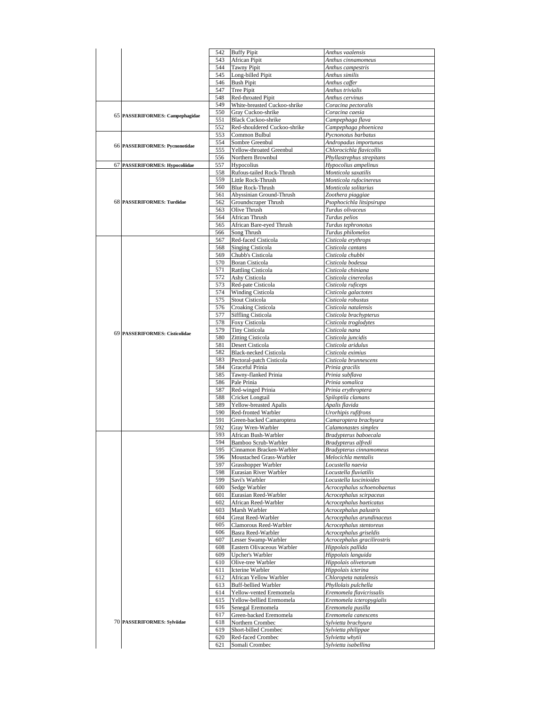|                                 | 542        | <b>Buffy Pipit</b>                              | Anthus vaalensis                                  |
|---------------------------------|------------|-------------------------------------------------|---------------------------------------------------|
|                                 | 543        | <b>African Pipit</b>                            | Anthus cinnamomeus                                |
|                                 | 544        | <b>Tawny Pipit</b>                              | Anthus campestris                                 |
|                                 | 545        | Long-billed Pipit                               | Anthus similis                                    |
|                                 | 546<br>547 | <b>Bush Pipit</b>                               | Anthus caffer                                     |
|                                 | 548        | <b>Tree Pipit</b><br>Red-throated Pipit         | Anthus trivialis<br>Anthus cervinus               |
|                                 | 549        | White-breasted Cuckoo-shrike                    | Coracina pectoralis                               |
|                                 | 550        | Gray Cuckoo-shrike                              | Coracina caesia                                   |
| 65 PASSERIFORMES: Campephagidae | 551        | <b>Black Cuckoo-shrike</b>                      | Campephaga flava                                  |
|                                 | 552        | Red-shouldered Cuckoo-shrike                    | Campephaga phoenicea                              |
|                                 | 553        | Common Bulbul                                   | Pycnonotus barbatus                               |
| 66 PASSERIFORMES: Pycnonotidae  | 554        | Sombre Greenbul                                 | Andropadus importunus                             |
|                                 | 555        | Yellow-throated Greenbul                        | Chlorocichla flavicollis                          |
| 67 PASSERIFORMES: Hypocoliidae  | 556<br>557 | Northern Brownbul<br>Hypocolius                 | Phyllastrephus strepitans<br>Hypocolius ampelinus |
|                                 | 558        | Rufous-tailed Rock-Thrush                       | Monticola saxatilis                               |
|                                 | 559        | Little Rock-Thrush                              | Monticola rufocinereus                            |
|                                 | 560        | <b>Blue Rock-Thrush</b>                         | Monticola solitarius                              |
|                                 | 561        | Abyssinian Ground-Thrush                        | Zoothera piaggiae                                 |
| 68 PASSERIFORMES: Turdidae      | 562        | Groundscraper Thrush                            | Psophocichla litsipsirupa                         |
|                                 | 563        | Olive Thrush                                    | Turdus olivaceus                                  |
|                                 | 564        | African Thrush                                  | Turdus pelios                                     |
|                                 | 565        | African Bare-eyed Thrush<br>Song Thrush         | Turdus tephronotus<br>Turdus philomelos           |
|                                 | 566<br>567 | Red-faced Cisticola                             | Cisticola erythrops                               |
|                                 | 568        | <b>Singing Cisticola</b>                        | Cisticola cantans                                 |
|                                 | 569        | Chubb's Cisticola                               | Cisticola chubbi                                  |
|                                 | 570        | <b>Boran Cisticola</b>                          | Cisticola bodessa                                 |
|                                 | 571        | <b>Rattling Cisticola</b>                       | Cisticola chiniana                                |
|                                 | 572        | Ashy Cisticola                                  | Cisticola cinereolus                              |
|                                 | 573        | Red-pate Cisticola                              | Cisticola ruficeps                                |
|                                 | 574        | Winding Cisticola                               | Cisticola galactotes                              |
|                                 | 575<br>576 | Stout Cisticola                                 | Cisticola robustus<br>Cisticola natalensis        |
|                                 | 577        | Croaking Cisticola<br><b>Siffling Cisticola</b> | Cisticola brachypterus                            |
|                                 | 578        | Foxy Cisticola                                  | Cisticola troglodytes                             |
|                                 | 579        | Tiny Cisticola                                  | Cisticola nana                                    |
| 69 PASSERIFORMES: Cisticolidae  | 580        | <b>Zitting Cisticola</b>                        | Cisticola juncidis                                |
|                                 | 581        | Desert Cisticola                                | Cisticola aridulus                                |
|                                 | 582        | <b>Black-necked Cisticola</b>                   | Cisticola eximius                                 |
|                                 | 583        | Pectoral-patch Cisticola                        | Cisticola brunnescens                             |
|                                 | 584        | Graceful Prinia                                 | Prinia gracilis                                   |
|                                 | 585        | Tawny-flanked Prinia                            | Prinia subflava                                   |
|                                 | 586        | Pale Prinia                                     | Prinia somalica                                   |
|                                 | 587<br>588 | Red-winged Prinia<br>Cricket Longtail           | Prinia erythroptera<br>Spiloptila clamans         |
|                                 | 589        | Yellow-breasted Apalis                          | Apalis flavida                                    |
|                                 | 590        | Red-fronted Warbler                             | Urorhipis rufifrons                               |
|                                 | 591        | Green-backed Camaroptera                        | Camaroptera brachyura                             |
|                                 | 592        | Gray Wren-Warbler                               | Calamonastes simplex                              |
|                                 | 593        | African Bush-Warbler                            | Bradypterus baboecala                             |
|                                 | 594        | Bamboo Scrub-Warbler                            | Bradypterus alfredi                               |
|                                 | 595        | Cinnamon Bracken-Warbler                        | Bradypterus cinnamomeus                           |
|                                 | 596<br>597 | Moustached Grass-Warbler<br>Grasshopper Warbler | Melocichla mentalis<br>Locustella naevia          |
|                                 | 598        | Eurasian River Warbler                          | Locustella fluviatilis                            |
|                                 | 599        | Savi's Warbler                                  | Locustella luscinioides                           |
|                                 | 600        | Sedge Warbler                                   | Acrocephalus schoenobaenus                        |
|                                 | 601        | Eurasian Reed-Warbler                           | Acrocephalus scirpaceus                           |
|                                 | 602        | African Reed-Warbler                            | Acrocephalus baeticatus                           |
|                                 | 603        | Marsh Warbler                                   | Acrocephalus palustris                            |
|                                 | 604        | Great Reed-Warbler                              | Acrocephalus arundinaceus                         |
|                                 | 605<br>606 | Clamorous Reed-Warbler<br>Basra Reed-Warbler    | Acrocephalus stentoreus<br>Acrocephalus griseldis |
|                                 | 607        | Lesser Swamp-Warbler                            | Acrocephalus gracilirostris                       |
|                                 | 608        | Eastern Olivaceous Warbler                      | Hippolais pallida                                 |
|                                 | 609        | Upcher's Warbler                                | Hippolais languida                                |
|                                 | 610        | Olive-tree Warbler                              | Hippolais olivetorum                              |
|                                 | 611        | Icterine Warbler                                | Hippolais icterina                                |
|                                 | 612        | African Yellow Warbler                          | Chloropeta natalensis                             |
|                                 | 613        | <b>Buff-bellied Warbler</b>                     | Phyllolais pulchella                              |
|                                 | 614        | Yellow-vented Eremomela                         | Eremomela flavicrissalis                          |
|                                 | 615<br>616 | Yellow-bellied Eremomela<br>Senegal Eremomela   | Eremomela icteropygialis<br>Eremomela pusilla     |
|                                 | 617        | Green-backed Eremomela                          | Eremomela canescens                               |
| 70 PASSERIFORMES: Sylviidae     | 618        | Northern Crombec                                | Sylvietta brachyura                               |
|                                 | 619        | Short-billed Crombec                            | Sylvietta philippae                               |
|                                 | 620        | Red-faced Crombec                               | Sylvietta whytii                                  |
|                                 | 621        | Somali Crombec                                  | Sylvietta isabellina                              |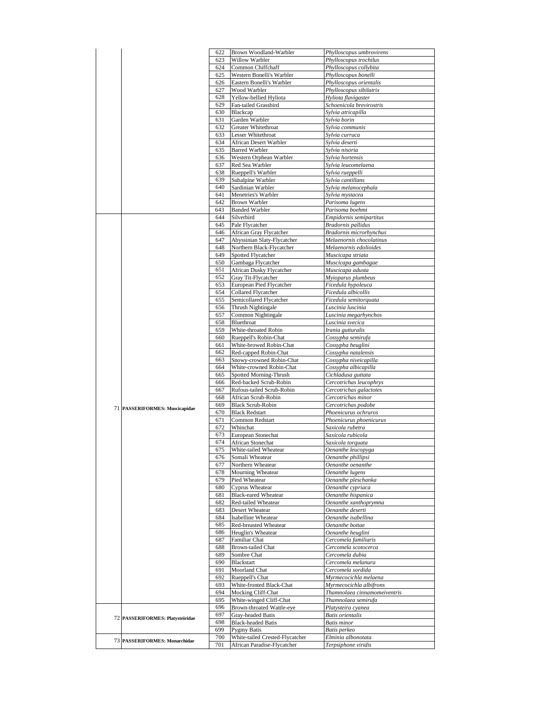|                                      | 622        | Brown Woodland-Warbler                                         | Phylloscopus umbrovirens                  |
|--------------------------------------|------------|----------------------------------------------------------------|-------------------------------------------|
|                                      | 623        | Willow Warbler                                                 | Phylloscopus trochilus                    |
|                                      | 624        | Common Chiffchaff                                              | Phylloscopus collybita                    |
|                                      | 625        | Western Bonelli's Warbler                                      | Phylloscopus bonelli                      |
|                                      | 626        | Eastern Bonelli's Warbler                                      | Phylloscopus orientalis                   |
|                                      |            |                                                                |                                           |
|                                      | 627        | Wood Warbler                                                   | Phylloscopus sibilatrix                   |
|                                      | 628        | Yellow-bellied Hyliota                                         | Hyliota flavigaster                       |
|                                      | 629        | Fan-tailed Grassbird                                           | Schoenicola brevirostris                  |
|                                      | 630        | Blackcap                                                       | Sylvia atricapilla                        |
|                                      | 631        | Garden Warbler                                                 | Sylvia borin                              |
|                                      | 632        | Greater Whitethroat                                            | Sylvia communis                           |
|                                      | 633        | Lesser Whitethroat                                             | Sylvia curruca                            |
|                                      |            |                                                                |                                           |
|                                      | 634        | African Desert Warbler                                         | Sylvia deserti                            |
|                                      | 635        | <b>Barred Warbler</b>                                          | Sylvia nisoria                            |
|                                      | 636        | Western Orphean Warbler                                        | Sylvia hortensis                          |
|                                      | 637        | Red Sea Warbler                                                | Sylvia leucomelaena                       |
|                                      | 638        | Rueppell's Warbler                                             | Sylvia rueppelli                          |
|                                      | 639        | Subalpine Warbler                                              | Sylvia cantillans                         |
|                                      | 640        | Sardinian Warbler                                              | Sylvia melanocephala                      |
|                                      |            |                                                                |                                           |
|                                      | 641        | Menetries's Warbler                                            | Sylvia mystacea                           |
|                                      | 642        | Brown Warbler                                                  | Parisoma lugens                           |
|                                      | 643        | <b>Banded Warbler</b>                                          | Parisoma boehmi                           |
|                                      | 644        | Silverbird                                                     | Empidornis semipartitus                   |
|                                      | 645        | Pale Flycatcher                                                | Bradornis pallidus                        |
|                                      | 646        | African Gray Flycatcher                                        | Bradornis microrhynchus                   |
|                                      |            |                                                                |                                           |
|                                      | 647        | Abyssinian Slaty-Flycatcher                                    | Melaenornis chocolatinus                  |
|                                      | 648        | Northern Black-Flycatcher                                      | Melaenornis edolioides                    |
|                                      | 649        | <b>Spotted Flycatcher</b>                                      | Muscicapa striata                         |
|                                      | 650        | Gambaga Flycatcher                                             | Muscicapa gambagae                        |
|                                      | 651        | African Dusky Flycatcher                                       | Muscicapa adusta                          |
|                                      | 652        | Gray Tit-Flycatcher                                            | Myioparus plumbeus                        |
|                                      | 653        | European Pied Flycatcher                                       | Ficedula hypoleuca                        |
|                                      |            |                                                                |                                           |
|                                      | 654        | <b>Collared Flycatcher</b>                                     | Ficedula albicollis                       |
|                                      | 655        | Semicollared Flycatcher                                        | Ficedula semitorquata                     |
|                                      | 656        | Thrush Nightingale                                             | Luscinia luscinia                         |
|                                      | 657        | Common Nightingale                                             | Luscinia megarhynchos                     |
|                                      | 658        | Bluethroat                                                     | Luscinia svecica                          |
|                                      | 659        | White-throated Robin                                           | Irania gutturalis                         |
|                                      | 660        | Rueppell's Robin-Chat                                          | Cossypha semirufa                         |
|                                      | 661        |                                                                |                                           |
|                                      |            | White-browed Robin-Chat                                        | Cossypha heuglini                         |
|                                      | 662        | Red-capped Robin-Chat                                          | Cossypha natalensis                       |
|                                      | 663        | Snowy-crowned Robin-Chat                                       | Cossypha niveicapilla                     |
|                                      |            |                                                                | Cossypha albicapilla                      |
|                                      | 664        | White-crowned Robin-Chat                                       |                                           |
|                                      | 665        | Spotted Morning-Thrush                                         | Cichladusa guttata                        |
|                                      |            |                                                                |                                           |
|                                      | 666        | Red-backed Scrub-Robin                                         | Cercotrichas leucophrys                   |
|                                      | 667        | Rufous-tailed Scrub-Robin                                      | Cercotrichas galactotes                   |
|                                      | 668        | African Scrub-Robin                                            | Cercotrichas minor                        |
| 71 PASSERIFORMES: Muscicapidae       | 669        | <b>Black Scrub-Robin</b>                                       | Cercotrichas podobe                       |
|                                      | 670        | <b>Black Redstart</b>                                          | Phoenicurus ochruros                      |
|                                      | 671        | Common Redstart                                                | Phoenicurus phoenicurus                   |
|                                      | 672        | Whinchat                                                       | Saxicola rubetra                          |
|                                      | 673        | European Stonechat                                             | Saxicola rubicola                         |
|                                      | 674        |                                                                |                                           |
|                                      |            | African Stonechat                                              | Saxicola torquata                         |
|                                      | 675        | White-tailed Wheatear                                          | Oenanthe leucopyga                        |
|                                      | 676        | Somali Wheatear                                                | Oenanthe phillipsi                        |
|                                      | 677        | Northern Wheatear                                              | Oenanthe oenanthe                         |
|                                      | 678        | Mourning Wheatear                                              | Oenanthe lugens                           |
|                                      | 679        | Pied Wheatear                                                  | Oenanthe pleschanka                       |
|                                      | 680        | Cyprus Wheatear                                                | Oenanthe cypriaca                         |
|                                      | 681        | <b>Black-eared Wheatear</b>                                    | Oenanthe hispanica                        |
|                                      | 682        | Red-tailed Wheatear                                            | Oenanthe xanthoprymna                     |
|                                      | 683        | Desert Wheatear                                                | Oenanthe deserti                          |
|                                      |            |                                                                |                                           |
|                                      | 684        | Isabelline Wheatear                                            | Oenanthe isabellina                       |
|                                      | 685        | Red-breasted Wheatear                                          | Oenanthe bottae                           |
|                                      | 686        | Heuglin's Wheatear                                             | Oenanthe heuglini                         |
|                                      | 687        | Familiar Chat                                                  | Cercomela familiaris                      |
|                                      | 688        | <b>Brown-tailed Chat</b>                                       | Cercomela scotocerca                      |
|                                      | 689        | Sombre Chat                                                    | Cercomela dubia                           |
|                                      | 690        | Blackstart                                                     | Cercomela melanura                        |
|                                      | 691        | Moorland Chat                                                  | Cercomela sordida                         |
|                                      |            |                                                                |                                           |
|                                      | 692        | Rueppell's Chat                                                | Myrmecocichla melaena                     |
|                                      | 693        | White-fronted Black-Chat                                       | Myrmecocichla albifrons                   |
|                                      | 694        | Mocking Cliff-Chat                                             | Thamnolaea cinnamomeiventris              |
|                                      | 695        | White-winged Cliff-Chat                                        | Thamnolaea semirufa                       |
|                                      | 696        | Brown-throated Wattle-eye                                      | Platysteira cyanea                        |
|                                      | 697        | Gray-headed Batis                                              | <b>Batis orientalis</b>                   |
| 72 PASSERIFORMES: Platysteiridae     | 698        |                                                                | <b>Batis</b> minor                        |
|                                      |            | <b>Black-headed Batis</b>                                      |                                           |
|                                      | 699        | <b>Pygmy Batis</b>                                             | Batis perkeo                              |
| <b>73 PASSERIFORMES: Monarchidae</b> | 700<br>701 | White-tailed Crested-Flycatcher<br>African Paradise-Flycatcher | Elminia albonotata<br>Terpsiphone viridis |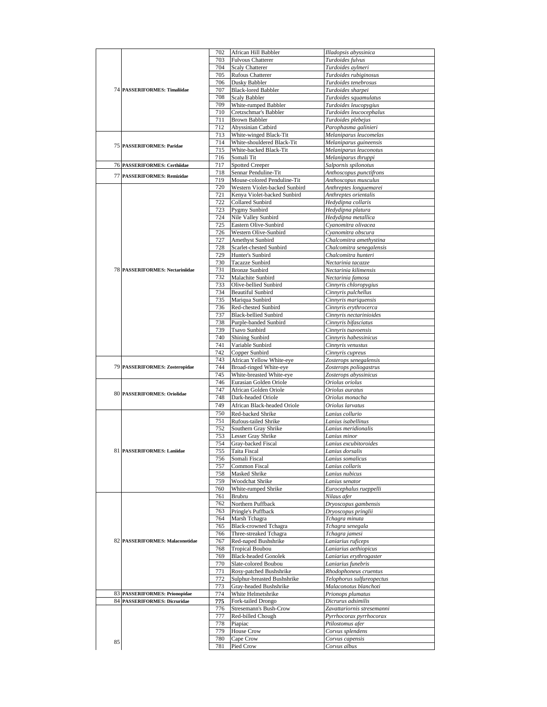|                                        | 702        | African Hill Babbler          | Illadopsis abyssinica           |
|----------------------------------------|------------|-------------------------------|---------------------------------|
|                                        | 703        | Fulvous Chatterer             |                                 |
|                                        |            |                               | Turdoides fulvus                |
|                                        | 704        | <b>Scaly Chatterer</b>        | Turdoides aylmeri               |
|                                        | 705        | <b>Rufous Chatterer</b>       | Turdoides rubiginosus           |
|                                        | 706        | Dusky Babbler                 | Turdoides tenebrosus            |
| 74 PASSERIFORMES: Timaliidae           | 707        | <b>Black-lored Babbler</b>    | Turdoides sharpei               |
|                                        | 708        | Scaly Babbler                 | Turdoides squamulatus           |
|                                        | 709        | White-rumped Babbler          | Turdoides leucopygius           |
|                                        | 710        | Cretzschmar's Babbler         | Turdoides leucocephalus         |
|                                        | 711        | Brown Babbler                 | Turdoides plebejus              |
|                                        | 712        | Abyssinian Catbird            | Parophasma galinieri            |
|                                        | 713        | White-winged Black-Tit        | Melaniparus leucomelas          |
|                                        | 714        | White-shouldered Black-Tit    | Melaniparus guineensis          |
| <b>75 PASSERIFORMES: Paridae</b>       | 715        | White-backed Black-Tit        | Melaniparus leuconotus          |
|                                        | 716        | Somali Tit                    | Melaniparus thruppi             |
| 76 PASSERIFORMES: Certhiidae           | 717        | <b>Spotted Creeper</b>        | Salpornis spilonotus            |
|                                        | 718        | Sennar Penduline-Tit          | Anthoscopus punctifrons         |
| 77 PASSERIFORMES: Remizidae            | 719        | Mouse-colored Penduline-Tit   | Anthoscopus musculus            |
|                                        | 720        | Western Violet-backed Sunbird | Anthreptes longuemarei          |
|                                        | 721        |                               |                                 |
|                                        |            | Kenya Violet-backed Sunbird   | Anthreptes orientalis           |
|                                        | 722        | Collared Sunbird              | Hedydipna collaris              |
|                                        | 723        | Pygmy Sunbird                 | Hedydipna platura               |
|                                        | 724        | Nile Valley Sunbird           | Hedydipna metallica             |
|                                        | 725        | Eastern Olive-Sunbird         | Cyanomitra olivacea             |
|                                        | 726        | Western Olive-Sunbird         | Cyanomitra obscura              |
|                                        | 727        | <b>Amethyst Sunbird</b>       | Chalcomitra amethystina         |
|                                        | 728        | Scarlet-chested Sunbird       | Chalcomitra senegalensis        |
|                                        | 729        | Hunter's Sunbird              | Chalcomitra hunteri             |
|                                        | 730        | Tacazze Sunbird               | Nectarinia tacazze              |
| <b>78 PASSERIFORMES: Nectariniidae</b> | 731        | <b>Bronze Sunbird</b>         | Nectarinia kilimensis           |
|                                        | 732        | Malachite Sunbird             | Nectarinia famosa               |
|                                        | 733        | Olive-bellied Sunbird         | Cinnyris chloropygius           |
|                                        | 734        | <b>Beautiful Sunbird</b>      | Cinnyris pulchellus             |
|                                        | 735        | Mariqua Sunbird               | Cinnyris mariquensis            |
|                                        | 736        | Red-chested Sunbird           | Cinnyris erythrocerca           |
|                                        | 737        | <b>Black-bellied Sunbird</b>  |                                 |
|                                        |            |                               | Cinnyris nectarinioides         |
|                                        | 738        | Purple-banded Sunbird         | Cinnyris bifasciatus            |
|                                        | 739        | Tsavo Sunbird                 | Cinnyris tsavoensis             |
|                                        | 740        | <b>Shining Sunbird</b>        | Cinnyris habessinicus           |
|                                        | 741        | Variable Sunbird              | Cinnyris venustus               |
|                                        | 742        | Copper Sunbird                | Cinnyris cupreus                |
|                                        | 743        | African Yellow White-eye      | Zosterops senegalensis          |
| 79 PASSERIFORMES: Zosteropidae         | 744        | Broad-ringed White-eye        | Zosterops poliogastrus          |
|                                        | 745        | White-breasted White-eye      | Zosterops abyssinicus           |
|                                        | 746        | Eurasian Golden Oriole        | Oriolus oriolus                 |
|                                        | 747        | African Golden Oriole         | Oriolus auratus                 |
| 80 PASSERIFORMES: Oriolidae            | 748        | Dark-headed Oriole            | Oriolus monacha                 |
|                                        | 749        | African Black-headed Oriole   | Oriolus larvatus                |
|                                        | 750        | Red-backed Shrike             | Lanius collurio                 |
|                                        |            |                               |                                 |
|                                        | 751        | Rufous-tailed Shrike          | Lanius isabellinus              |
|                                        | 752        | Southern Gray Shrike          | Lanius meridionalis             |
|                                        | 753        | Lesser Gray Shrike            | Lanius minor                    |
|                                        | 754        | Gray-backed Fiscal            | Lanius excubitoroides           |
| 81 PASSERIFORMES: Laniidae             | 755        | Taita Fiscal                  | Lanius dorsalis                 |
|                                        | 756        | Somali Fiscal                 | Lanius somalicus                |
|                                        | 757        | Common Fiscal                 | Lanius collaris                 |
|                                        | 758        | Masked Shrike                 | Lanius nubicus                  |
|                                        |            |                               |                                 |
|                                        | 759        | <b>Woodchat Shrike</b>        | Lanius senator                  |
|                                        | 760        | White-rumped Shrike           | Eurocephalus rueppelli          |
|                                        | 761        | Brubru                        | Nilaus afer                     |
|                                        | 762        |                               |                                 |
|                                        | 763        | Northern Puffback             | Dryoscopus gambensis            |
|                                        |            | Pringle's Puffback            | Dryoscopus pringlii             |
|                                        | 764        | Marsh Tchagra                 | Tchagra minuta                  |
|                                        | 765        | <b>Black-crowned Tchagra</b>  | Tchagra senegala                |
|                                        | 766        | Three-streaked Tchagra        | Tchagra jamesi                  |
| 82 PASSERIFORMES: Malaconotidae        | 767        | Red-naped Bushshrike          | Laniarius ruficeps              |
|                                        | 768        | <b>Tropical Boubou</b>        | Laniarius aethiopicus           |
|                                        | 769        | <b>Black-headed Gonolek</b>   | Laniarius erythrogaster         |
|                                        | 770        | Slate-colored Boubou          | Laniarius funebris              |
|                                        | 771        | Rosy-patched Bushshrike       | Rhodophoneus cruentus           |
|                                        | 772        | Sulphur-breasted Bushshrike   | Telophorus sulfureopectus       |
|                                        | 773        | Gray-headed Bushshrike        | Malaconotus blanchoti           |
| 83 PASSERIFORMES: Prionopidae          | 774        | White Helmetshrike            | Prionops plumatus               |
| 84 PASSERIFORMES: Dicruridae           | 775        | Fork-tailed Drongo            | Dicrurus adsimilis              |
|                                        | 776        | Stresemann's Bush-Crow        | Zavattariornis stresemanni      |
|                                        | 777        | Red-billed Chough             | Pyrrhocorax pyrrhocorax         |
|                                        | 778        | Piapiac                       | Ptilostomus afer                |
|                                        |            |                               |                                 |
|                                        | 779        | House Crow                    | Corvus splendens                |
| 85                                     | 780<br>781 | Cape Crow<br>Pied Crow        | Corvus capensis<br>Corvus albus |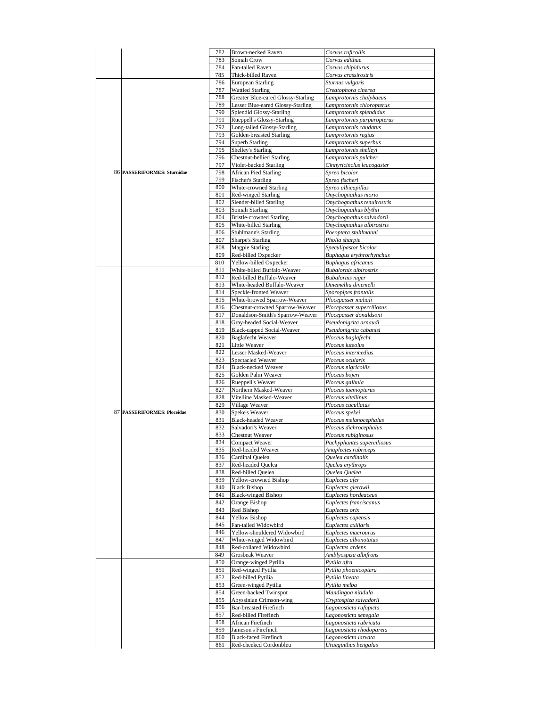|                             | 782        | Brown-necked Raven                                     | Corvus ruficollis                            |
|-----------------------------|------------|--------------------------------------------------------|----------------------------------------------|
|                             | 783        | Somali Crow                                            | Corvus edithae                               |
|                             |            |                                                        |                                              |
|                             | 784        | Fan-tailed Raven                                       | Corvus rhipidurus                            |
|                             | 785        | Thick-billed Raven                                     | Corvus crassirostris                         |
|                             | 786        | European Starling                                      | Sturnus vulgaris                             |
|                             | 787        | <b>Wattled Starling</b>                                | Creatophora cinerea                          |
|                             | 788        | Greater Blue-eared Glossy-Starling                     | Lamprotornis chalybaeus                      |
|                             | 789        | Lesser Blue-eared Glossy-Starling                      | Lamprotornis chloropterus                    |
|                             | 790        | Splendid Glossy-Starling                               | Lamprotornis splendidus                      |
|                             | 791        | Rueppell's Glossy-Starling                             | Lamprotornis purpuropterus                   |
|                             | 792        | Long-tailed Glossy-Starling                            | Lamprotornis caudatus                        |
|                             | 793        | Golden-breasted Starling                               | Lamprotornis regius                          |
|                             | 794        |                                                        |                                              |
|                             |            | <b>Superb Starling</b>                                 | Lamprotornis superbus                        |
|                             | 795        | Shelley's Starling                                     | Lamprotornis shelleyi                        |
|                             | 796        | <b>Chestnut-bellied Starling</b>                       | Lamprotornis pulcher                         |
|                             | 797        | Violet-backed Starling                                 | Cinnyricinclus leucogaster                   |
| 86 PASSERIFORMES: Sturnidae | 798        | <b>African Pied Starling</b>                           | Spreo bicolor                                |
|                             | 799        | <b>Fischer's Starling</b>                              | Spreo fischeri                               |
|                             | 800        | White-crowned Starling                                 | Spreo albicapillus                           |
|                             | 801        | <b>Red-winged Starling</b>                             | Onychognathus morio                          |
|                             | 802        | Slender-billed Starling                                | Onychognathus tenuirostris                   |
|                             | 803        | Somali Starling                                        | Onychognathus blythii                        |
|                             | 804        | <b>Bristle-crowned Starling</b>                        | Onychognathus salvadorii                     |
|                             |            |                                                        |                                              |
|                             | 805        | White-billed Starling                                  | Onychognathus albirostris                    |
|                             | 806        | <b>Stuhlmann's Starling</b>                            | Poeoptera stuhlmanni                         |
|                             | 807        | Sharpe's Starling                                      | Pholia sharpie                               |
|                             | 808        | <b>Magpie Starling</b>                                 | Speculipastor bicolor                        |
|                             | 809        | Red-billed Oxpecker                                    | Buphagus erythrorhynchus                     |
|                             | 810        | Yellow-billed Oxpecker                                 | Buphagus africanus                           |
|                             | 811        | White-billed Buffalo-Weaver                            | <b>Bubalornis</b> albirostris                |
|                             | 812        | Red-billed Buffalo-Weaver                              | <b>Bubalornis</b> niger                      |
|                             | 813        | White-headed Buffalo-Weaver                            | Dinemellia dinemelli                         |
|                             | 814        | Speckle-fronted Weaver                                 | Sporopipes frontalis                         |
|                             | 815        | White-browed Sparrow-Weaver                            | Plocepasser mahali                           |
|                             | 816        | Chestnut-crowned Sparrow-Weaver                        | Plocepasser superciliosus                    |
|                             |            |                                                        |                                              |
|                             | 817        | Donaldson-Smith's Sparrow-Weaver                       | Plocepasser donaldsoni                       |
|                             | 818        | Gray-headed Social-Weaver                              | Pseudonigrita arnaudi                        |
|                             | 819        | Black-capped Social-Weaver                             | Pseudonigrita cabanisi                       |
|                             | 820        | <b>Baglafecht Weaver</b>                               | Ploceus baglafecht                           |
|                             | 821        | Little Weaver                                          | Ploceus luteolus                             |
|                             | 822        | Lesser Masked-Weaver                                   | Ploceus intermedius                          |
|                             | 823        | Spectacled Weaver                                      | Ploceus ocularis                             |
|                             | 824        | <b>Black-necked Weaver</b>                             | Ploceus nigricollis                          |
|                             | 825        | Golden Palm Weaver                                     | Ploceus bojeri                               |
|                             | 826        | Rueppell's Weaver                                      | Ploceus galbula                              |
|                             | 827        | Northern Masked-Weaver                                 | Ploceus taeniopterus                         |
|                             |            |                                                        |                                              |
|                             |            |                                                        |                                              |
|                             | 828        | Vitelline Masked-Weaver                                | Ploceus vitellinus                           |
|                             | 829        | Village Weaver                                         | Ploceus cucullatus                           |
| 87 PASSERIFORMES: Ploceidae | 830        | Speke's Weaver                                         | Ploceus spekei                               |
|                             | 831        | <b>Black-headed Weaver</b>                             | Ploceus melanocephalus                       |
|                             | 832        | Salvadori's Weaver                                     | Ploceus dichrocephalus                       |
|                             | 833        | <b>Chestnut Weaver</b>                                 | Ploceus rubiginosus                          |
|                             | 834        | <b>Compact Weaver</b>                                  | Pachyphantes superciliosus                   |
|                             | 832.       | Red-headed Weaver                                      | Anaplectes rubriceps                         |
|                             | 836        | Cardinal Quelea                                        | Quelea cardinalis                            |
|                             | 837        | Red-headed Quelea                                      | Quelea erythrops                             |
|                             | 838        | Red-billed Quelea                                      | Quelea Quelea                                |
|                             | 839        |                                                        | Euplectes afer                               |
|                             |            | Yellow-crowned Bishop                                  |                                              |
|                             | 840        | <b>Black Bishop</b>                                    | Euplectes gierowii                           |
|                             | 841        | <b>Black-winged Bishop</b>                             | Euplectes hordeaceus                         |
|                             | 842        | Orange Bishop                                          | Euplectes franciscanus                       |
|                             | 843        | Red Bishop                                             | Euplectes orix                               |
|                             | 844        | <b>Yellow Bishop</b>                                   | Euplectes capensis                           |
|                             | 845        | Fan-tailed Widowbird                                   | Euplectes axillaris                          |
|                             | 846        | Yellow-shouldered Widowbird                            | Euplectes macrourus                          |
|                             | 847        | White-winged Widowbird                                 | Euplectes albonotatus                        |
|                             | 848        | Red-collared Widowbird                                 | Euplectes ardens                             |
|                             | 849        | Grosbeak Weaver                                        | Amblyospiza albifrons                        |
|                             | 850        | Orange-winged Pytilia                                  | Pytilia afra                                 |
|                             | 851        | Red-winged Pytilia                                     | Pytilia phoenicoptera                        |
|                             | 852        |                                                        |                                              |
|                             |            | Red-billed Pytilia                                     | Pytilia lineata                              |
|                             | 853        | Green-winged Pytilia                                   | Pytilia melba                                |
|                             | 854        | Green-backed Twinspot                                  | Mandingoa nitidula                           |
|                             | 855        | Abyssinian Crimson-wing                                | Cryptospiza salvadorii                       |
|                             | 856        | <b>Bar-breasted Firefinch</b>                          | Lagonosticta rufopicta                       |
|                             | 857        | Red-billed Firefinch                                   | Lagonosticta senegala                        |
|                             | 858        | African Firefinch                                      | Lagonosticta rubricata                       |
|                             | 859        | Jameson's Firefinch                                    | Lagonosticta rhodopareia                     |
|                             | 860<br>861 | <b>Black-faced Firefinch</b><br>Red-cheeked Cordonbleu | Lagonosticta larvata<br>Uraeginthus bengalus |